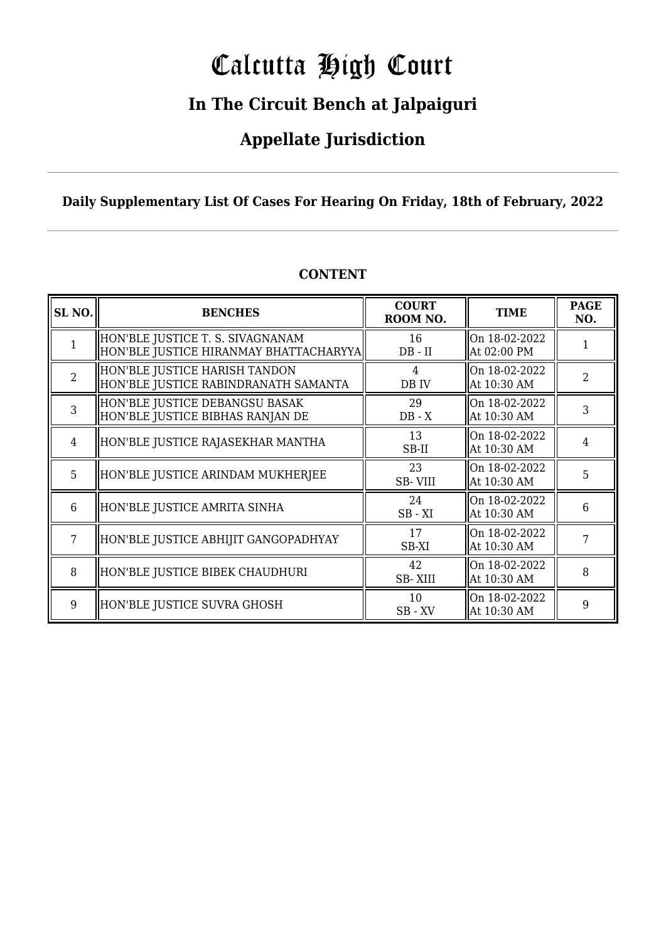# Calcutta High Court

### **In The Circuit Bench at Jalpaiguri**

### **Appellate Jurisdiction**

**Daily Supplementary List Of Cases For Hearing On Friday, 18th of February, 2022**

| SL <sub>NO.</sub> | <b>BENCHES</b>                                                             | <b>COURT</b><br>ROOM NO. | <b>TIME</b>                  | <b>PAGE</b><br>NO. |
|-------------------|----------------------------------------------------------------------------|--------------------------|------------------------------|--------------------|
|                   | HON'BLE JUSTICE T. S. SIVAGNANAM<br>HON'BLE JUSTICE HIRANMAY BHATTACHARYYA | 16<br>$DB - II$          | On 18-02-2022<br>At 02:00 PM |                    |
| $\overline{2}$    | HON'BLE JUSTICE HARISH TANDON<br>HON'BLE JUSTICE RABINDRANATH SAMANTA      | 4<br>DB IV               | On 18-02-2022<br>At 10:30 AM | $\overline{2}$     |
| $\overline{3}$    | HON'BLE JUSTICE DEBANGSU BASAK<br>HON'BLE JUSTICE BIBHAS RANJAN DE         | 29<br>$DB - X$           | On 18-02-2022<br>At 10:30 AM | 3                  |
| $\overline{4}$    | HON'BLE JUSTICE RAJASEKHAR MANTHA                                          | 13<br>SB-II              | On 18-02-2022<br>At 10:30 AM | 4                  |
| 5                 | HON'BLE JUSTICE ARINDAM MUKHERJEE                                          | 23<br>SB-VIII            | On 18-02-2022<br>At 10:30 AM | 5                  |
| $6\phantom{1}$    | HON'BLE JUSTICE AMRITA SINHA                                               | 24<br>$SB - XI$          | On 18-02-2022<br>At 10:30 AM | 6                  |
| 7                 | HON'BLE JUSTICE ABHIJIT GANGOPADHYAY                                       | 17<br>SB-XI              | On 18-02-2022<br>At 10:30 AM | 7                  |
| 8                 | HON'BLE JUSTICE BIBEK CHAUDHURI                                            | 42<br>SB-XIII            | On 18-02-2022<br>At 10:30 AM | 8                  |
| 9                 | HON'BLE JUSTICE SUVRA GHOSH                                                | 10<br>SB-XV              | On 18-02-2022<br>At 10:30 AM | 9                  |

### **CONTENT**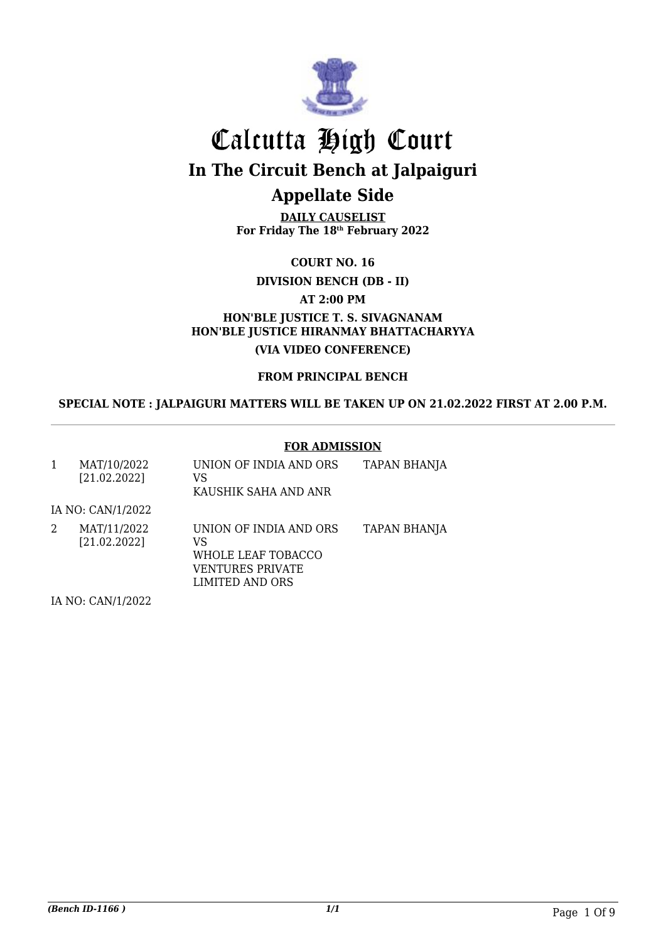

**DAILY CAUSELIST For Friday The 18th February 2022**

**COURT NO. 16**

**DIVISION BENCH (DB - II)**

**AT 2:00 PM**

**HON'BLE JUSTICE T. S. SIVAGNANAM HON'BLE JUSTICE HIRANMAY BHATTACHARYYA (VIA VIDEO CONFERENCE)**

**FROM PRINCIPAL BENCH**

**SPECIAL NOTE : JALPAIGURI MATTERS WILL BE TAKEN UP ON 21.02.2022 FIRST AT 2.00 P.M.**

#### **FOR ADMISSION**

| 1 | MAT/10/2022<br>[21.02.2022] | UNION OF INDIA AND ORS<br>VS<br>KAUSHIK SAHA AND ANR                                      | <b>TAPAN BHANJA</b> |
|---|-----------------------------|-------------------------------------------------------------------------------------------|---------------------|
|   | IA NO: CAN/1/2022           |                                                                                           |                     |
| 2 | MAT/11/2022<br>[21.02.2022] | UNION OF INDIA AND ORS<br>VS<br>WHOLE LEAF TOBACCO<br>VENTURES PRIVATE<br>LIMITED AND ORS | <b>TAPAN BHANJA</b> |
|   | $I$ A NIO. CANIJI JOOD      |                                                                                           |                     |

IA NO: CAN/1/2022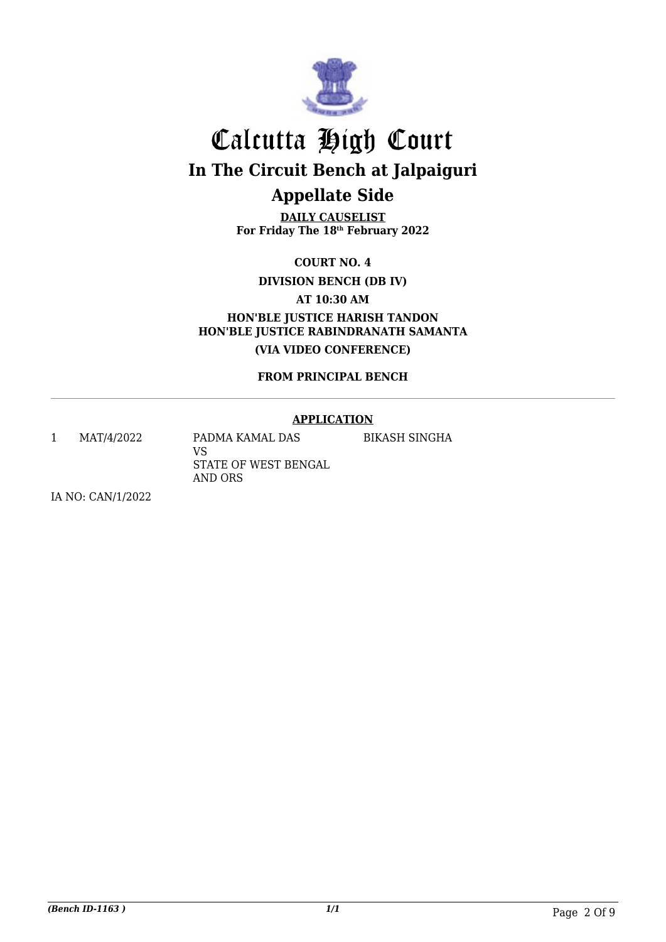

**DAILY CAUSELIST For Friday The 18th February 2022**

**COURT NO. 4**

**DIVISION BENCH (DB IV)**

**AT 10:30 AM**

**HON'BLE JUSTICE HARISH TANDON HON'BLE JUSTICE RABINDRANATH SAMANTA (VIA VIDEO CONFERENCE)**

**FROM PRINCIPAL BENCH**

#### **APPLICATION**

1 MAT/4/2022 PADMA KAMAL DAS VS STATE OF WEST BENGAL

AND ORS

BIKASH SINGHA

IA NO: CAN/1/2022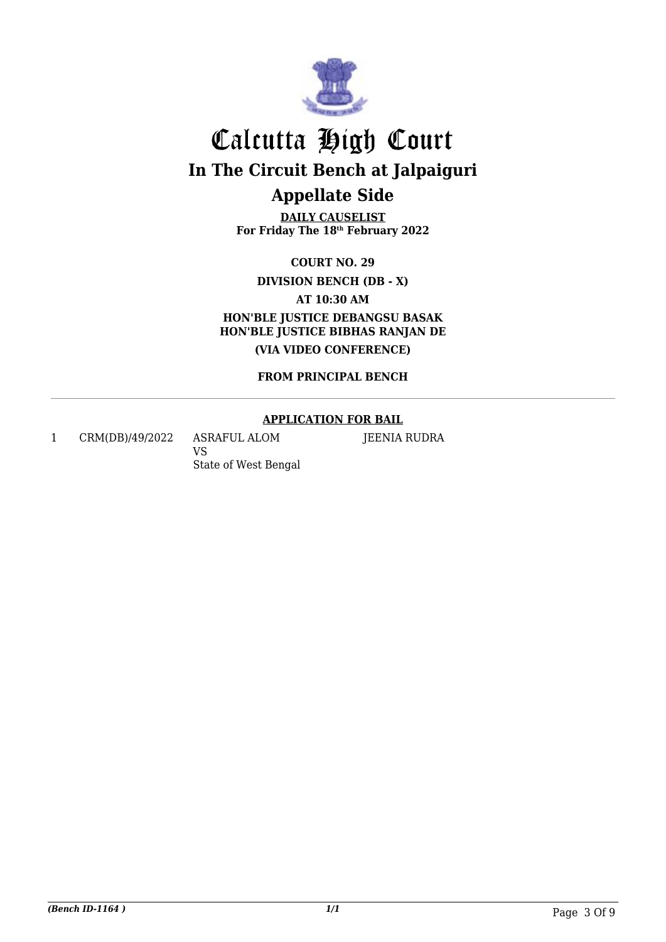

**DAILY CAUSELIST For Friday The 18th February 2022**

**COURT NO. 29**

**DIVISION BENCH (DB - X)**

**AT 10:30 AM**

**HON'BLE JUSTICE DEBANGSU BASAK HON'BLE JUSTICE BIBHAS RANJAN DE (VIA VIDEO CONFERENCE)**

**FROM PRINCIPAL BENCH**

#### **APPLICATION FOR BAIL**

JEENIA RUDRA

1 CRM(DB)/49/2022 ASRAFUL ALOM VS

State of West Bengal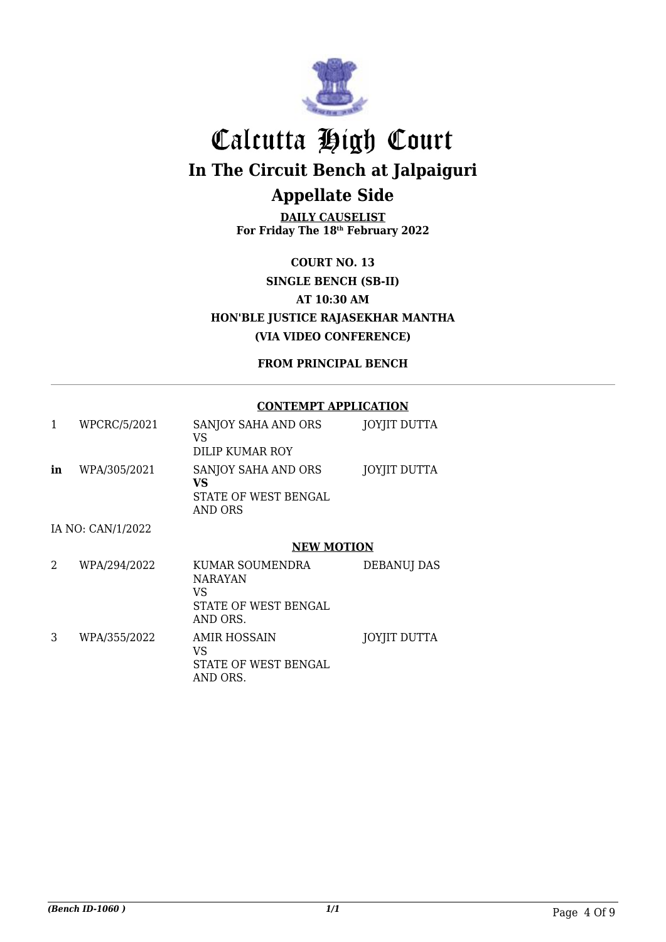

**DAILY CAUSELIST For Friday The 18th February 2022**

**COURT NO. 13 SINGLE BENCH (SB-II) AT 10:30 AM HON'BLE JUSTICE RAJASEKHAR MANTHA (VIA VIDEO CONFERENCE)**

**FROM PRINCIPAL BENCH**

#### **CONTEMPT APPLICATION**

| 1  | WPCRC/5/2021      | SANJOY SAHA AND ORS<br>VS<br>DILIP KUMAR ROY                 | JOYJIT DUTTA       |
|----|-------------------|--------------------------------------------------------------|--------------------|
| in | WPA/305/2021      | SANJOY SAHA AND ORS<br>VS<br>STATE OF WEST BENGAL<br>AND ORS | JOYJIT DUTTA       |
|    | IA NO: CAN/1/2022 |                                                              |                    |
|    |                   | <b>NEW MOTION</b>                                            |                    |
| 2  | WPA/294/2022      | KUMAR SOUMENDRA<br><b>NARAYAN</b><br>VS                      | <b>DEBANUJ DAS</b> |

STATE OF WEST BENGAL AND ORS. 3 WPA/355/2022 AMIR HOSSAIN VS STATE OF WEST BENGAL AND ORS. JOYJIT DUTTA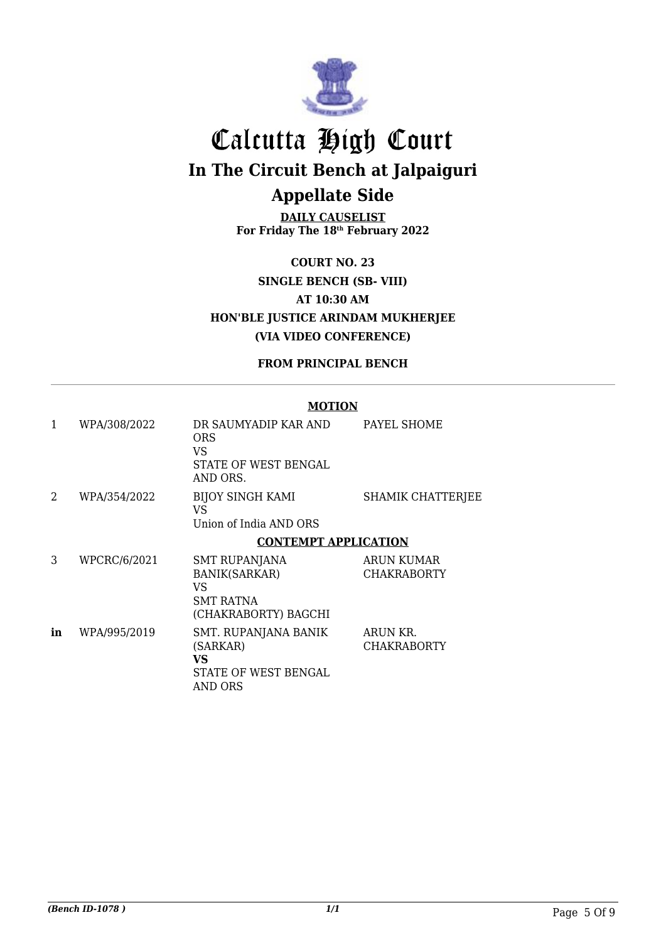

**DAILY CAUSELIST For Friday The 18th February 2022**

**COURT NO. 23 SINGLE BENCH (SB- VIII) AT 10:30 AM HON'BLE JUSTICE ARINDAM MUKHERJEE (VIA VIDEO CONFERENCE)**

**FROM PRINCIPAL BENCH**

#### **MOTION**

| 1              | WPA/308/2022 | DR SAUMYADIP KAR AND<br><b>ORS</b><br>VS<br><b>STATE OF WEST BENGAL</b><br>AND ORS.            | PAYEL SHOME                             |
|----------------|--------------|------------------------------------------------------------------------------------------------|-----------------------------------------|
| $\mathfrak{D}$ | WPA/354/2022 | <b>BIJOY SINGH KAMI</b><br>VS<br>Union of India AND ORS                                        | SHAMIK CHATTERJEE                       |
|                |              | <b>CONTEMPT APPLICATION</b>                                                                    |                                         |
| 3              | WPCRC/6/2021 | <b>SMT RUPANJANA</b><br><b>BANIK(SARKAR)</b><br>VS<br><b>SMT RATNA</b><br>(CHAKRABORTY) BAGCHI | <b>ARUN KUMAR</b><br><b>CHAKRABORTY</b> |
| in             | WPA/995/2019 | SMT. RUPANJANA BANIK<br>(SARKAR)<br>VS<br>STATE OF WEST BENGAL<br>AND ORS                      | ARUN KR.<br><b>CHAKRABORTY</b>          |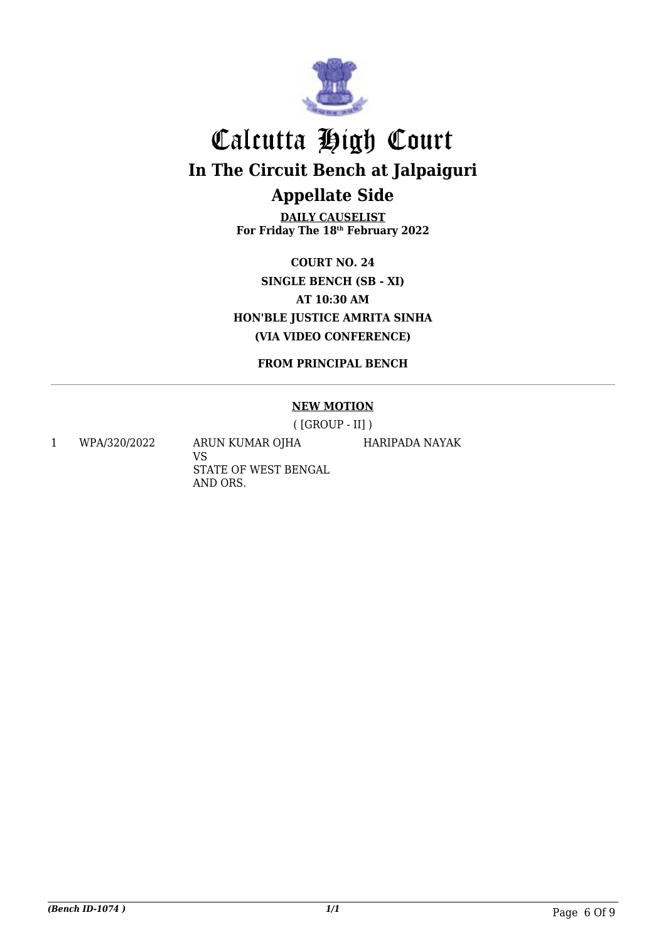

**DAILY CAUSELIST For Friday The 18th February 2022**

**COURT NO. 24 SINGLE BENCH (SB - XI) AT 10:30 AM HON'BLE JUSTICE AMRITA SINHA (VIA VIDEO CONFERENCE)**

**FROM PRINCIPAL BENCH**

#### **NEW MOTION**

( [GROUP - II] )

HARIPADA NAYAK

1 WPA/320/2022 ARUN KUMAR OJHA

VS STATE OF WEST BENGAL AND ORS.

*(Bench ID-1074 ) 1/1* Page 6 Of 9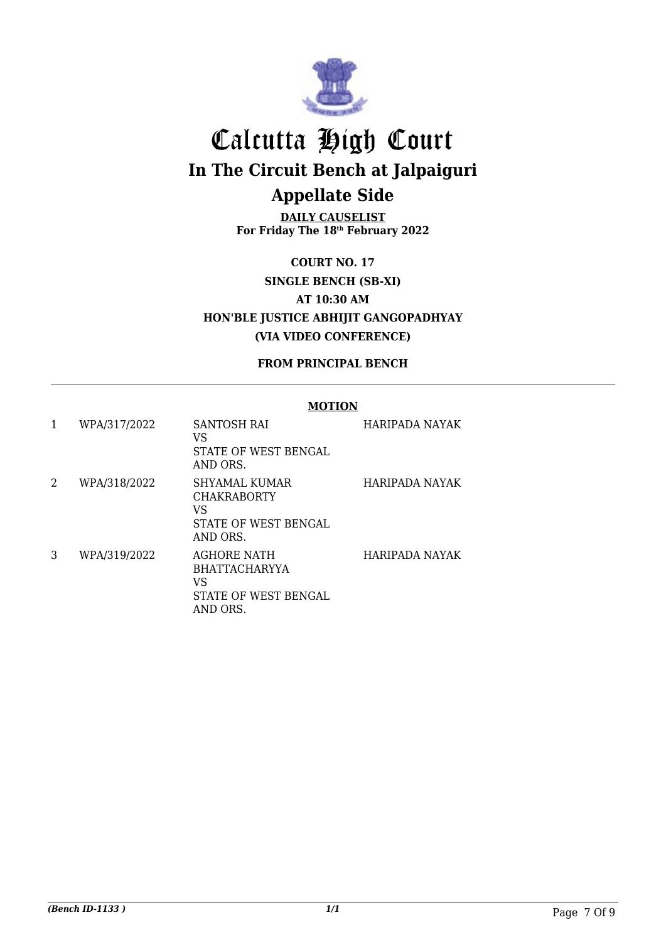

**DAILY CAUSELIST For Friday The 18th February 2022**

**COURT NO. 17 SINGLE BENCH (SB-XI) AT 10:30 AM HON'BLE JUSTICE ABHIJIT GANGOPADHYAY (VIA VIDEO CONFERENCE)**

**FROM PRINCIPAL BENCH**

#### **MOTION**

| 1 | WPA/317/2022 | SANTOSH RAI<br>VS<br>STATE OF WEST BENGAL<br>AND ORS.                                | <b>HARIPADA NAYAK</b> |
|---|--------------|--------------------------------------------------------------------------------------|-----------------------|
| 2 | WPA/318/2022 | SHYAMAL KUMAR<br><b>CHAKRABORTY</b><br>VS<br>STATE OF WEST BENGAL<br>AND ORS.        | HARIPADA NAYAK        |
| 3 | WPA/319/2022 | <b>AGHORE NATH</b><br><b>BHATTACHARYYA</b><br>VS<br>STATE OF WEST BENGAL<br>AND ORS. | HARIPADA NAYAK        |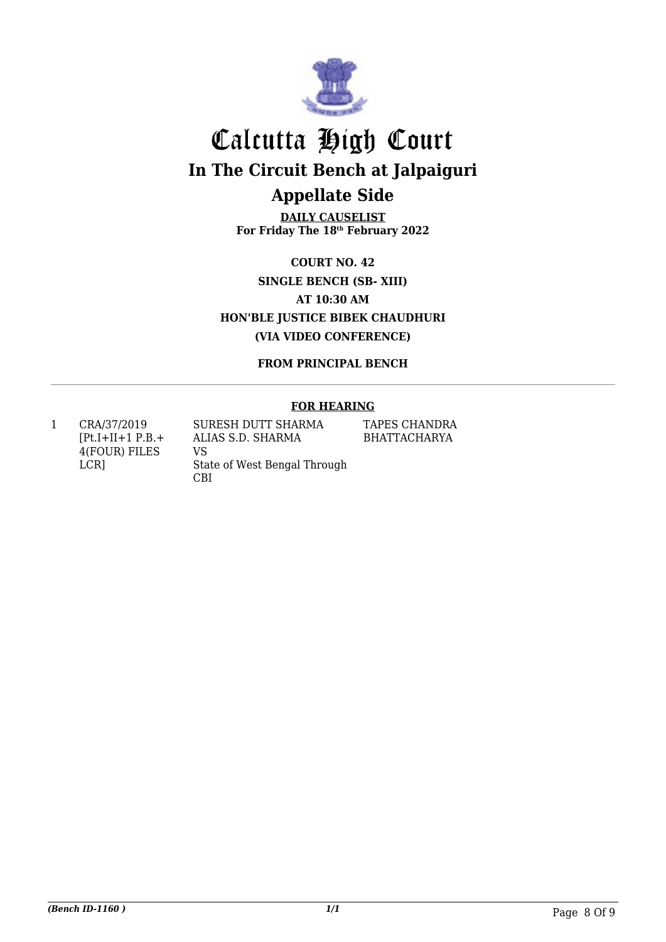

**DAILY CAUSELIST For Friday The 18th February 2022**

**COURT NO. 42 SINGLE BENCH (SB- XIII) AT 10:30 AM HON'BLE JUSTICE BIBEK CHAUDHURI (VIA VIDEO CONFERENCE)**

**FROM PRINCIPAL BENCH**

#### **FOR HEARING**

1 CRA/37/2019  $[Pt.I+II+1 P.B. +$ 4(FOUR) FILES LCR]

SURESH DUTT SHARMA ALIAS S.D. SHARMA VS State of West Bengal Through CBI

TAPES CHANDRA BHATTACHARYA